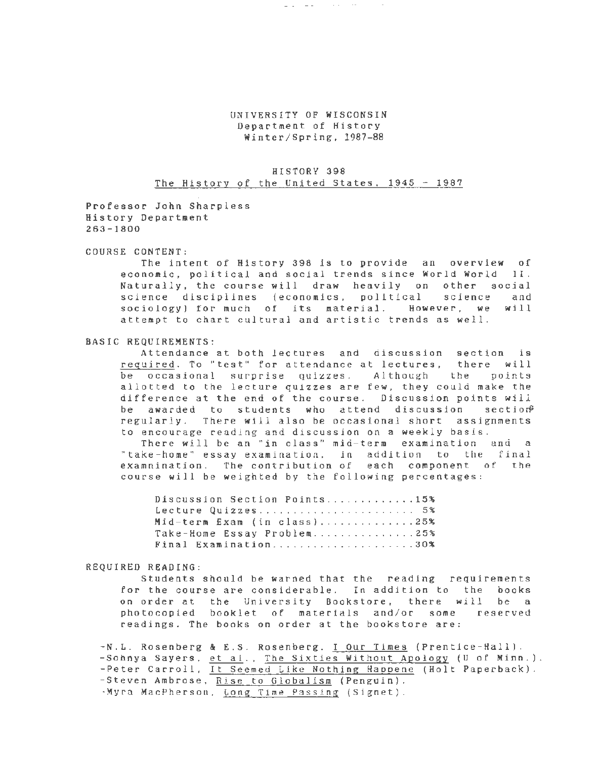# UNIVERSITY OF WISCONSIN Department of History Winter/Spring, 1987-88

الموارد والمرابي المناويات

## HISTORY 398 The History of the United States, 1945 - 1987

Professor John Sharpless · History Departaent 263-1800

### COURSE CONTENT:

The intent of History 398 is to provide an overview of economic, political and social trends since World World II. Naturally, the course will draw heavily on other social science disciplines (economics, political science and sociology) for much of its material. However, we will attempt to chart cultural and artistic trends as well.

#### BASIC REQUIREMENTS:

Attendance at both lectures and discussion section is required. To "test" for attendance at lectures, there will be occasional surprise quizzes. Although the points allotted to the lecture quizzes are few, they could make the difference at the end of the course. Discussion points will be awarded to students who attend discussion sections regularly. There will also be occasional short assignments to encourage reading and discussion on a weekly basis.

There will be an "in class" mid-term examination and a "take-home" essay examination, in addition to the final examnination. The contribution of each component of the course will be weighted by the following percentages:

| Discussion Section Points15% |  |  |  |
|------------------------------|--|--|--|
| Lecture Quizzes 5%           |  |  |  |
| Mid-term Exam (in class)25%  |  |  |  |
| Take-Home Essay Problem25%   |  |  |  |
| Final Examination30%         |  |  |  |

#### REQUIRED READING:

Students should be warned that the reading requirements for the course are considerable. In addition to the books on order at the University Bookstore, there will be a photocopied booklet of materials and/or some reserved readings. The books on order at the bookstore are:

-N.L. Rosenberg & E.S. Rosenberg, I Our Times (Prentice-Hall). -Sohnya Sayers, et al., The Sixties Without Apology (U of Minn.). -Peter Carroll, It Seemed Like Nothing Hapoene (Holt Paperback). -Steven Ambrose, Rise to Globalism (Penguin). - Myra MacPherson, Long Time Passing (Signet).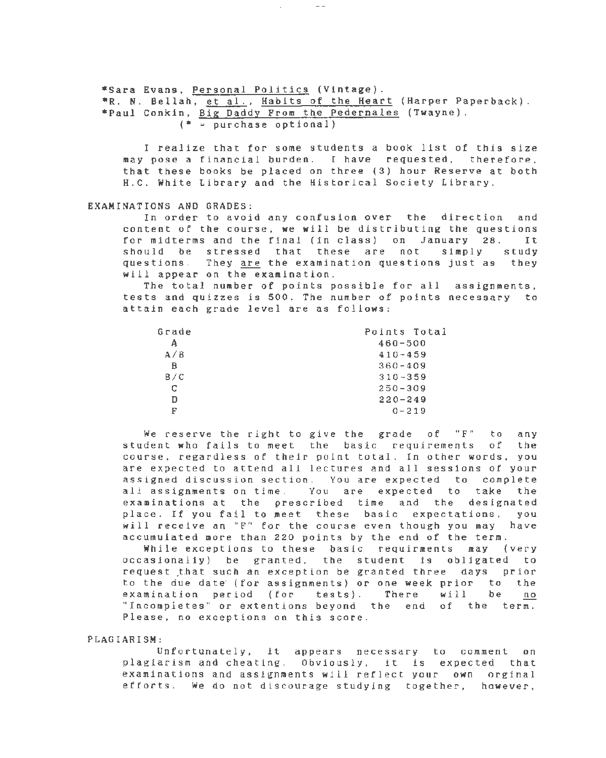\*Sara Evans, Personal Politics (Vintage).

\*R. N. Bellah, et al., Habits of the Heart (Harper Paperback). \*Paul Conkin, Big Daddy From the Pedernales (Twayne).  $(* = purchase optional)$ 

 $-$ 

I realize that for some students a book list of this size may pose a financial burden . I have requested, therefore, that these books be placed on three (3) hour Reserve at both H.C. White Library and the Historical Society Library.

#### EXAMINATIONS AND GRADES:

In order to avoid any confusion over the direction and content of the course, we will be distributing the questions for midterms and the final (in class) on January 28. It<br>should be stressed that these are not simply study should be stressed that these are not questions. They are the examination questions just as they will appear on the examination.

The total number of points possible for all assignments, tests and quizzes is 500. The number of points necessary to attain each grade level are as follows:

| Grade | Points Total |
|-------|--------------|
| Α     | $460 - 500$  |
| A/B   | $410 - 459$  |
| в     | $360 - 409$  |
| B/C   | $310 - 359$  |
| C     | $250 - 309$  |
| D     | $220 - 249$  |
| F     | $0 - 219$    |

We reserve the right to give the grade of "F" to any student who fails to meet the basic requirements of the course, regardless of their point total. In other words, you are expected to attend all lectures and all sessions of your assigned discussion section. You are expected to complete all assignments on time. You are expected to take the examinations at the prescribed time and the designated place. If you fail to meet these basic expectations, you will receive an "F" for the course even though you may have accumulated more than 220 points by the end of the term.

While exceptions to these basic requirments may (very occasionally) be granted, the student is obligated to request that such an exception be granted three days prior to the due date· (for assignments) or one week prior to the examination period (for tests). There will be no "Incompietes" or extentions beyond the end of the term. Please, no exceptions on this score.

### PLAGIARISM:

Unfortunately, it appears necessary to comment on plagiarism and cheating. Obviously, it is expected that examinations and assignments will reflect your own orginal efforts. We do not discourage studying together, however,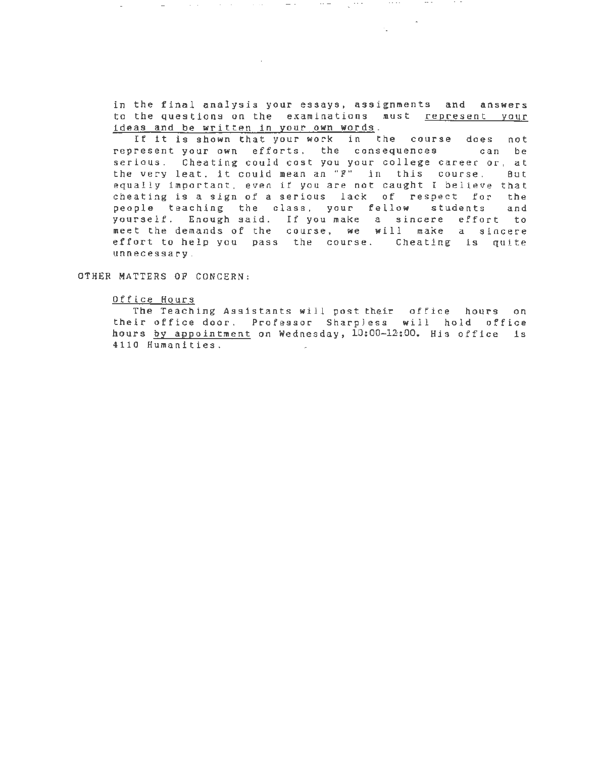in the final analysis your essays, assignments and answers to the questions on the examinations must represent your ideas and be written in your own words.

 $\sim$  100 km s  $^{-1}$  .

 $\sim$  100  $-$  100  $-$ 

 $\mathcal{L}(\Delta\mathcal{L})$  , which is a set of the set of  $\mathcal{L}(\Delta\mathcal{L})$  , and  $\mathcal{L}(\Delta\mathcal{L})$ 

 $\sim 10^{-1}$ 

If it is shown that your work in the course does not represent your own efforts, the consequences can be serious. Cheating could cost you your college career or, at the very !eat, *it* could mean an "F" in this course. But equally important, even if you are not caught I believe that cheating is a sign of a serious lack of respect for the people teaching the class, your fellow students and yourself. Enough said. If you make a sincere effort to meet the demands of the course, we will make a sincere effort to help you pass the course. Cheating is quite unnecessary.

OTHER MATTERS OF CONCERN:

### Office Hours

The Teaching Assistants will post their office hours on their office door. Professor Sharpless will hold office hours by appointment on Wednesday, 10:00-12:00. His office is 4110 Humanities.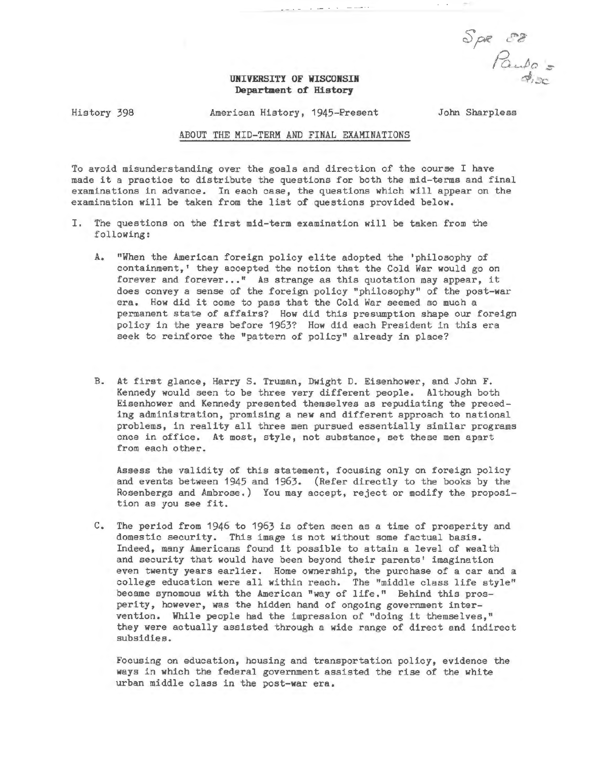$QPR$   $C$   $C$ /£ ~.flo *.:s-* $\mathcal{P}_{\mathcal{F}}$ 

## UNIVERSITY OF WISCONSIN **Department of History**

. -- . . . - --·· ·

History 398 American History , 1945-Present John Sharpless

## ABOUT THE MID-TERM AND FINAL EXAMINATIONS

To avoid misunderstanding over the goals and direction of the course I have made it a practice to distribute the questions for both the mid-terms and final examinations in advance. In each case, the questions which will appear on the examination will be taken from the list of questions provided below.

- I. The questions on the first mid-term examination will be taken from the following:
	- A. "When the American foreign policy elite adopted the ' philosophy of containment, ' they accepted the notion that the Cold War would go on forever and forever..." As strange as this quotation may appear, it does convey a sense of the foreign policy "philosophy" of the post-war era. How did it come to pass that the Cold War seemed so much a permanent state of affairs? How did this presumption shape our foreign policy in the years before 1963? How did each President in this era seek to reinforce the "pattern of policy" already in place?
	- B. At first glance , Harry S. Truman, Dwight D. Eisenhower, and John F. Kennedy would seen to be three very different people. Although both Eisenhower and Kennedy presented themselves as repudiating the preceding administration, promising a new and different approach to national problems, in reality all three men pursued essentially similar programs once in office. At most, style, not substance, set these men apart from each other.

Assess the validity of this statement, focusing only on foreign policy and events between 1945 and 1963. (Refer directly to the books by the Rosenbergs and Ambrose.) You may accept, reject or modify the proposition as you see fit.

C. The period from 1946 to 1963 is often seen as a time of prosperity and domestic security. This image is not without some factual basis. Indeed, many Americans found it possible to attain a level of wealth and security that would have been beyond their parents' imagination even twenty years earlier. Home ownership, the purchase of a car and a college education were all within reach. The "middle class life style" became synomous with the American "way of life." Behind this prosperity, however, was the hidden hand of ongoing government intervention. While people had the impression of "doing it themselves," they were actually assisted through a wide range of direct and indirect subsidies.

Focusing on education, housing and transportation policy, evidence the ways in which the federal government assisted the rise of the white urban middle class in the post-war era.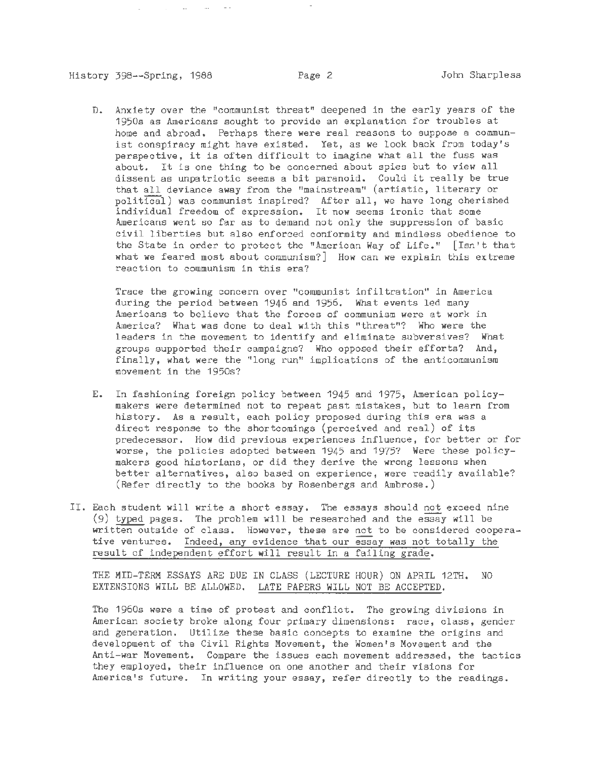·· ····- --· ·-·-- - - - ·· ... .

D. Anxiety over the "communist threat" deepened in the early years of the 1950s as Americans sought to provide an explanation for troubles at home and abroad. Perhaps there were real reasons to suppose a communist conspiracy might have existed. Yet, as we look back from today's perspective, it is often difficult to imagine what all the fuss was about. It is one thing to be concerned about spies but to view all dissent as unpatriotic seems a bit paranoid. Could it really be true that all deviance away from the "mainstream" (artistic, literary or political) was communist inspired? After all, we have long cherished individual freedom of expression. It now seems ironic that some Americans went so far as to demand not only the suppression of basic civil liberties but also enforced conformity and mindless obedience to the State in order to protect the "American Way of Life." [Isn't that what we feared most about communism?] How can we explain this extreme reaction to communism in this era?

Trace the growing concern over "communist infiltration" in America during the period between 1946 and 1956. What events led many Americans to believe that the forces of communism were at work in America? What was done to deal with this "threat"? Who were the leaders in the movement to identify and eliminate subversives? What groups supported their campaigns? Who opposed their efforts? And, finally, what were the "long run" implications of the anticommunism movement in the 1950s?

- E. In fashioning foreign policy between 1945 and 1975, American policymakers were determined not to repeat past mistakes, but to learn from history. As a result, each policy proposed during this era was a direct response to the shortcomings (perceived and real) of its predecessor. How did previous experiences influence, for better or for worse, the policies adopted between 1945 and 1975? Were these policymakers good historians, or did they derive the wrong lessons when better alternatives, also based on experience, were readily available? (Refer directly to the books by Rosenbergs and Ambrose.)
- II. Each student will write a short essay. The essays should not exceed nine (9) typed pages. The problem will be researched and the essay will be written outside of class. However, these are not to be considered cooperative ventures. Indeed, any evidence that our essay was not totally the result of independent effort will result in a failing grade.

THE MID-TERM ESSAYS ARE DUE IN CLASS (LECTURE HOUR) ON APRIL 12TH. NO EXTENSIONS WILL BE ALLOWED. LATE PAPERS WILL NOT BE ACCEPTED.

The 1960s were a time of protest and conflict. The growing divisions in American society broke along four primary dimensions: race, class, gender and generation. Utilize these basic concepts to examine the origins and development of the Civil Rights Movement, the Women's Movement and the Anti-war Movement. Compare the issues each movement addressed, the tactics they employed, their influence on one another and their visions for America's future. In writing your essay, refer directly to the readings.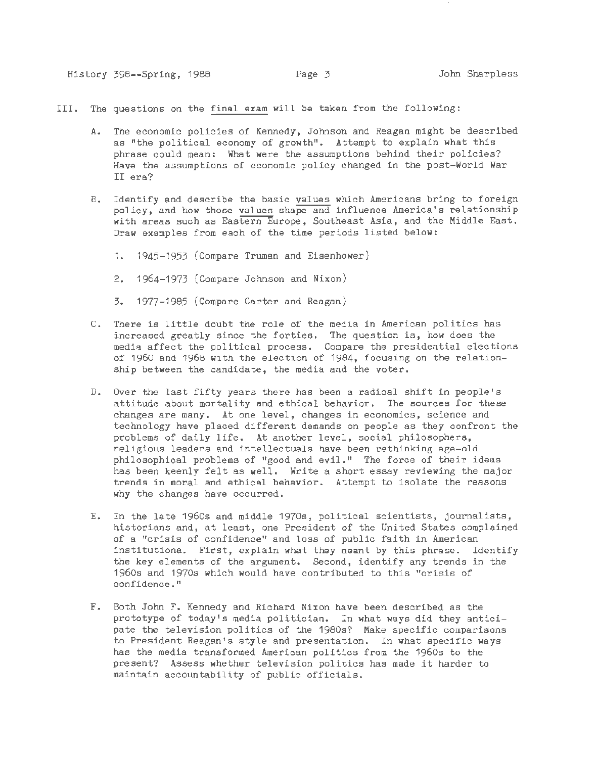- III. The questions on the final exam will be taken from the following:
	- A. The economic policies of Kennedy, Johnson and Reagan might be described as "the political economy of growth". Attempt to explain what this phrase could mean: What were the assumptions behind their policies? Have the assumptions of economic policy changed in the post-World War II era?
	- B. Identify and describe the basic values which Americans bring to foreign policy, and how those values shape and influence America's relationship with areas such as Eastern Europe, Southeast Asia, and the Middle East. Draw examples from each of the time periods listed below:
		- 1. 1945-1953 (Compare Truman and Eisenhower)
		- 2. 1964-1973 (Compare Johnson and Nixon)
		- 3. 1977-1985 (Compare Carter and Reagan)
	- C. There is little doubt the role of the media in American politics has increased greatly since the forties. The question is, how does the media affect the political process. Compare the presidential elections of 1960 and 1968 with the election of 1984, focusing on the relationship between the candidate, the media and the voter.
	- D. Over the last fifty years there has been a radical shift in people's attitude about mortality and ethical behavior. The sources for these changes are many. At one level, changes in economics, science and technology have placed different demands on people as they confront the problems of daily life. At another level, social philosophers, religious leaders and intellectuals have been rethinking age-old philosophical problems of "good and evil." The force of their ideas has been keenly felt as well. Write a short essay reviewing the major trends in moral and ethical behavior. Attempt to isolate the reasons why the changes have occurred.
	- E. In the late 1960s and middle 1970s, political scientists, journalists, historians and, at least, one President of the United States complained of a "crisis of confidence" and loss of public faith in American institutions. First, explain what they meant by this phrase. Identify the key elements of the argument. Second, identify any trends in the 1960s and 1970s which would have contributed to this "crisis of confidence."
	- F. Both John F. Kennedy and Richard Nixon have been described as the prototype of today's media politician. In what ways did they anticipate the television politics of the 1980s? Make specific comparisons to President Reagan's style and presentation. In what specific ways has the media transformed American politics from the 1960s to the present? Assess whether television politics has made it harder to maintain accountability of public officials.